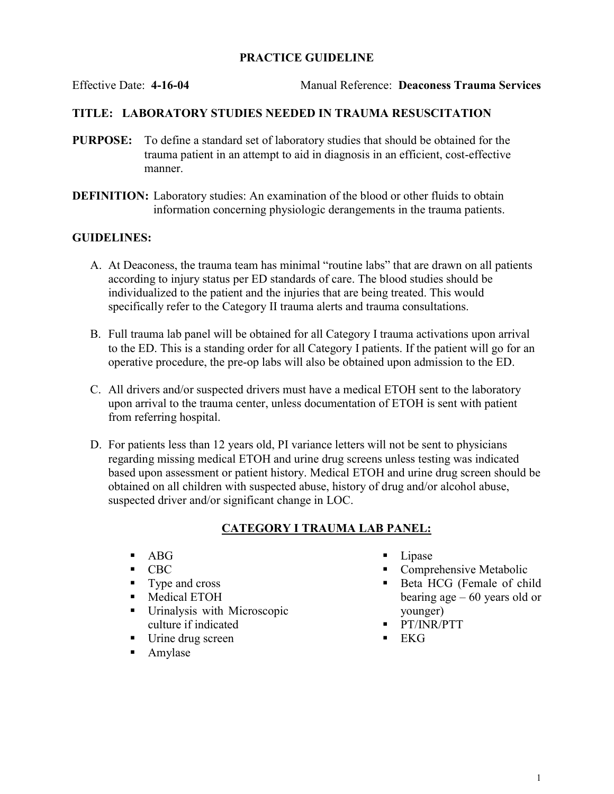## PRACTICE GUIDELINE

Effective Date: 4-16-04 Manual Reference: Deaconess Trauma Services

## TITLE: LABORATORY STUDIES NEEDED IN TRAUMA RESUSCITATION

- PURPOSE: To define a standard set of laboratory studies that should be obtained for the trauma patient in an attempt to aid in diagnosis in an efficient, cost-effective manner.
- DEFINITION: Laboratory studies: An examination of the blood or other fluids to obtain information concerning physiologic derangements in the trauma patients.

#### GUIDELINES:

- A. At Deaconess, the trauma team has minimal "routine labs" that are drawn on all patients according to injury status per ED standards of care. The blood studies should be individualized to the patient and the injuries that are being treated. This would specifically refer to the Category II trauma alerts and trauma consultations.
- B. Full trauma lab panel will be obtained for all Category I trauma activations upon arrival to the ED. This is a standing order for all Category I patients. If the patient will go for an operative procedure, the pre-op labs will also be obtained upon admission to the ED.
- C. All drivers and/or suspected drivers must have a medical ETOH sent to the laboratory upon arrival to the trauma center, unless documentation of ETOH is sent with patient from referring hospital.
- D. For patients less than 12 years old, PI variance letters will not be sent to physicians regarding missing medical ETOH and urine drug screens unless testing was indicated based upon assessment or patient history. Medical ETOH and urine drug screen should be obtained on all children with suspected abuse, history of drug and/or alcohol abuse, suspected driver and/or significant change in LOC.

#### CATEGORY I TRAUMA LAB PANEL:

- $-$  ABG
- $\blacksquare$  CBC
- Type and cross
- **Medical ETOH**
- Urinalysis with Microscopic culture if indicated
- Urine drug screen
- **Amylase**
- $\blacksquare$  Lipase
- **Comprehensive Metabolic**
- Beta HCG (Female of child bearing age – 60 years old or younger)
- **PT/INR/PTT**
- EKG